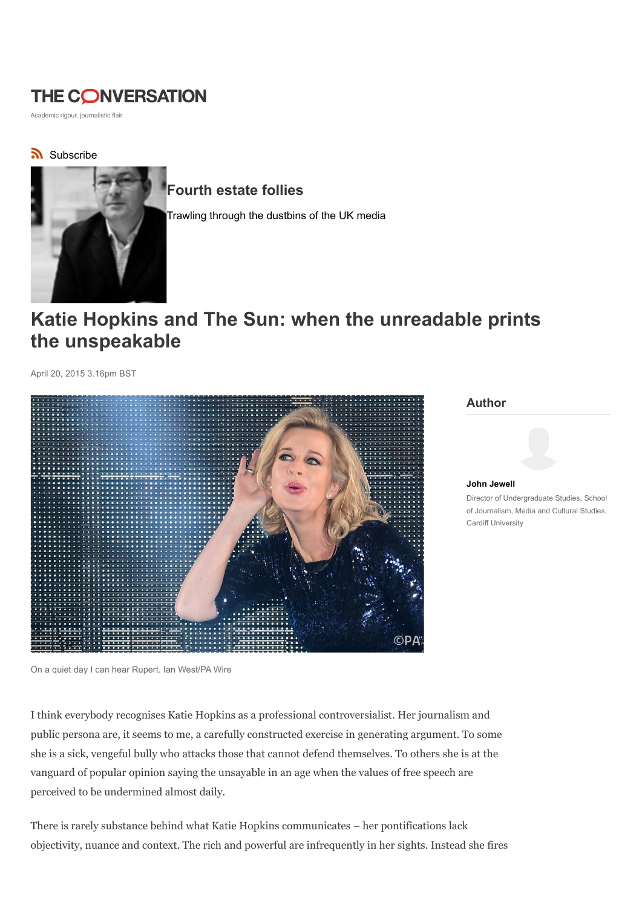## THE CONVERSATION

Academic rigour, journalistic flair

## Subscribe



## Fourth estate follies

Trawling through the dustbins of the UK media

# Katie Hopkins and The Sun: when the unreadable prints the unspeakable

April 20, 2015 3.16pm BST



#### Author



Director of Undergraduate Studies, School of Journalism, Media and Cultural Studies, Cardiff University

I think everybody recognises Katie Hopkins as a professional controversialist. Her journalism and public persona are, it seems to me, a carefully constructed exercise in generating argument. To some she is a sick, vengeful bully who attacks those that cannot defend themselves. To others she is at the vanguard of popular opinion saying the unsayable in an age when the values of free speech are perceived to be undermined almost daily.

There is rarely substance behind what Katie Hopkins communicates – her pontifications lack objectivity, nuance and context. The rich and powerful are infrequently in her sights. Instead she fires

On a quiet day I can hear Rupert. Ian West/PA Wire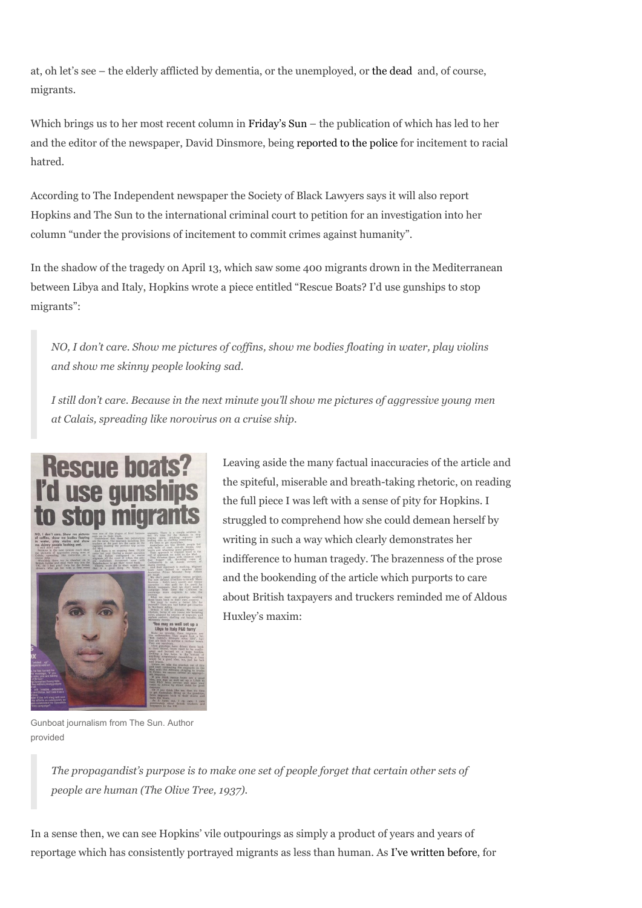at, oh let's see – the elderly afflicted by dementia, or the unemployed, or the dead and, of course, migrants.

Which brings us to her most recent column in Friday's Sun – the publication of which has led to her and the editor of the newspaper, David Dinsmore, being reported to the police for incitement to racial hatred.

According to The Independent newspaper the Society of Black Lawyers says it will also report Hopkins and The Sun to the international criminal court to petition for an investigation into her column "under the provisions of incitement to commit crimes against humanity".

In the shadow of the tragedy on April 13, which saw some 400 migrants drown in the Mediterranean between Libya and Italy, Hopkins wrote a piece entitled "Rescue Boats? I'd use gunships to stop migrants":

NO, I don't care. Show me pictures of coffins, show me bodies floating in water, play violins and show me skinny people looking sad.

I still don't care. Because in the next minute you'll show me pictures of aggressive young men at Calais, spreading like norovirus on a cruise ship.



Leaving aside the many factual inaccuracies of the article and the spiteful, miserable and breath-taking rhetoric, on reading the full piece I was left with a sense of pity for Hopkins. I struggled to comprehend how she could demean herself by writing in such a way which clearly demonstrates her indifference to human tragedy. The brazenness of the prose and the bookending of the article which purports to care about British taxpayers and truckers reminded me of Aldous Huxley's maxim:

Gunboat journalism from The Sun. Author provided

The propagandist's purpose is to make one set of people forget that certain other sets of people are human (The Olive Tree, 1937).

In a sense then, we can see Hopkins' vile outpourings as simply a product of years and years of reportage which has consistently portrayed migrants as less than human. As I've written before, for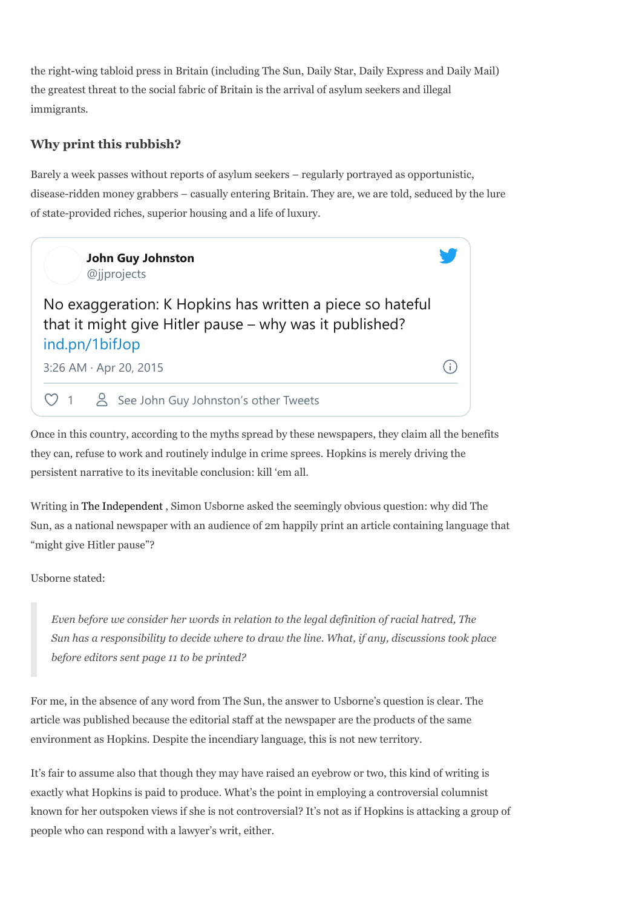the right-wing tabloid press in Britain (including The Sun, Daily Star, Daily Express and Daily Mail) the greatest threat to the social fabric of Britain is the arrival of asylum seekers and illegal immigrants.

## Why print this rubbish?

Barely a week passes without reports of asylum seekers – regularly portrayed as opportunistic, disease-ridden money grabbers – casually entering Britain. They are, we are told, seduced by the lure of state-provided riches, superior housing and a life of luxury.



Once in this country, according to the myths spread by these newspapers, they claim all the benefits they can, refuse to work and routinely indulge in crime sprees. Hopkins is merely driving the persistent narrative to its inevitable conclusion: kill 'em all.

Writing in The Independent , Simon Usborne asked the seemingly obvious question: why did The Sun, as a national newspaper with an audience of 2m happily print an article containing language that "might give Hitler pause"?

Usborne stated:

Even before we consider her words in relation to the legal definition of racial hatred, The Sun has a responsibility to decide where to draw the line. What, if any, discussions took place before editors sent page 11 to be printed?

For me, in the absence of any word from The Sun, the answer to Usborne's question is clear. The article was published because the editorial staff at the newspaper are the products of the same environment as Hopkins. Despite the incendiary language, this is not new territory.

It's fair to assume also that though they may have raised an eyebrow or two, this kind of writing is exactly what Hopkins is paid to produce. What's the point in employing a controversial columnist known for her outspoken views if she is not controversial? It's not as if Hopkins is attacking a group of people who can respond with a lawyer's writ, either.